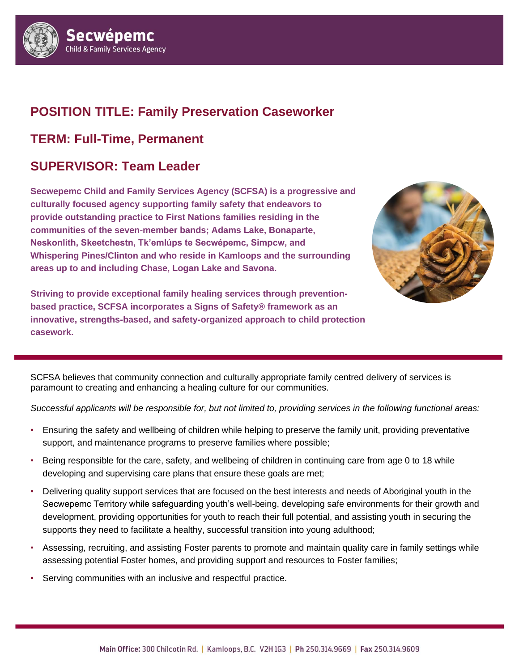

### **POSITION TITLE: Family Preservation Caseworker**

## **TERM: Full-Time, Permanent**

## **SUPERVISOR: Team Leader**

**Secwepemc Child and Family Services Agency (SCFSA) is a progressive and culturally focused agency supporting family safety that endeavors to provide outstanding practice to First Nations families residing in the communities of the seven**‐**member bands; Adams Lake, Bonaparte, Neskonlith, Skeetchestn, Tk'emlúps te Secwépemc, Simpcw, and Whispering Pines/Clinton and who reside in Kamloops and the surrounding areas up to and including Chase, Logan Lake and Savona.** 



**Striving to provide exceptional family healing services through preventionbased practice, SCFSA incorporates a Signs of Safety® framework as an innovative, strengths-based, and safety-organized approach to child protection**   ${\sf casework.}$  , strengths-based, and safety-organized approach to child protection casework.  ${\sf case}(A)$ 

SCFSA believes that community connection and culturally appropriate family centred delivery of services is paramount to creating and enhancing a healing culture for our communities.

*Successful applicants will be responsible for, but not limited to, providing services in the following functional areas:*

- Ensuring the safety and wellbeing of children while helping to preserve the family unit, providing preventative support, and maintenance programs to preserve families where possible;
- Being responsible for the care, safety, and wellbeing of children in continuing care from age 0 to 18 while developing and supervising care plans that ensure these goals are met;
- Delivering quality support services that are focused on the best interests and needs of Aboriginal youth in the Secwepemc Territory while safeguarding youth's well-being, developing safe environments for their growth and development, providing opportunities for youth to reach their full potential, and assisting youth in securing the supports they need to facilitate a healthy, successful transition into young adulthood;
- Assessing, recruiting, and assisting Foster parents to promote and maintain quality care in family settings while assessing potential Foster homes, and providing support and resources to Foster families;
- Serving communities with an inclusive and respectful practice.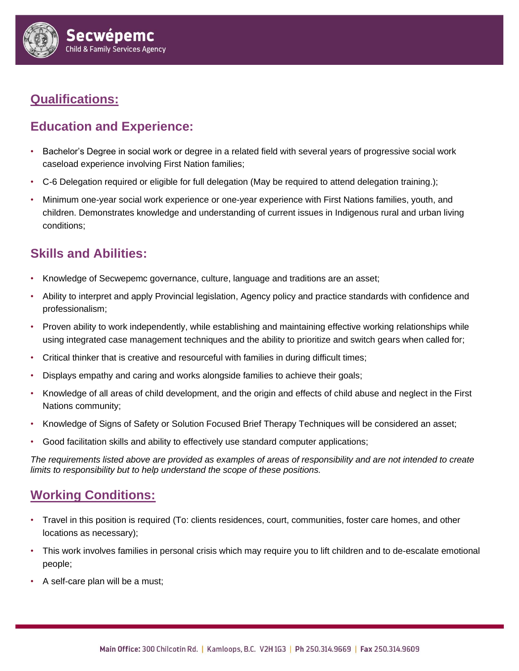

# **Qualifications:**

### **Education and Experience:**

- Bachelor's Degree in social work or degree in a related field with several years of progressive social work caseload experience involving First Nation families;
- C-6 Delegation required or eligible for full delegation (May be required to attend delegation training.);
- Minimum one-year social work experience or one-year experience with First Nations families, youth, and children. Demonstrates knowledge and understanding of current issues in Indigenous rural and urban living conditions;

#### **Skills and Abilities:**

- Knowledge of Secwepemc governance, culture, language and traditions are an asset;
- Ability to interpret and apply Provincial legislation, Agency policy and practice standards with confidence and professionalism;
- Proven ability to work independently, while establishing and maintaining effective working relationships while using integrated case management techniques and the ability to prioritize and switch gears when called for;
- Critical thinker that is creative and resourceful with families in during difficult times;
- Displays empathy and caring and works alongside families to achieve their goals;
- Knowledge of all areas of child development, and the origin and effects of child abuse and neglect in the First Nations community;
- Knowledge of Signs of Safety or Solution Focused Brief Therapy Techniques will be considered an asset;
- Good facilitation skills and ability to effectively use standard computer applications;

*The requirements listed above are provided as examples of areas of responsibility and are not intended to create limits to responsibility but to help understand the scope of these positions.*

### **Working Conditions:**

- Travel in this position is required (To: clients residences, court, communities, foster care homes, and other locations as necessary);
- This work involves families in personal crisis which may require you to lift children and to de-escalate emotional people;
- A self-care plan will be a must;